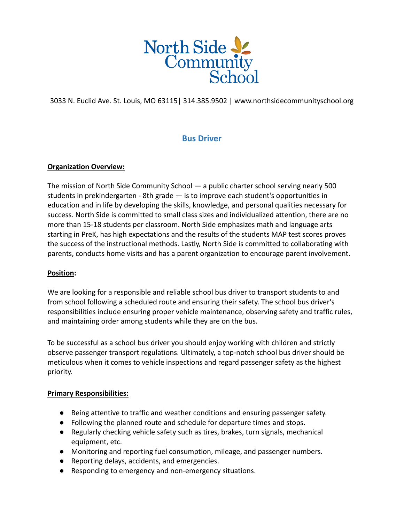

3033 N. Euclid Ave. St. Louis, MO 63115| 314.385.9502 | www.northsidecommunityschool.org

# **Bus Driver**

## **Organization Overview:**

The mission of North Side Community School — a public charter school serving nearly 500 students in prekindergarten - 8th grade — is to improve each student's opportunities in education and in life by developing the skills, knowledge, and personal qualities necessary for success. North Side is committed to small class sizes and individualized attention, there are no more than 15-18 students per classroom. North Side emphasizes math and language arts starting in PreK, has high expectations and the results of the students MAP test scores proves the success of the instructional methods. Lastly, North Side is committed to collaborating with parents, conducts home visits and has a parent organization to encourage parent involvement.

## **Position:**

We are looking for a responsible and reliable school bus driver to transport students to and from school following a scheduled route and ensuring their safety. The school bus driver's responsibilities include ensuring proper vehicle maintenance, observing safety and traffic rules, and maintaining order among students while they are on the bus.

To be successful as a school bus driver you should enjoy working with children and strictly observe passenger transport regulations. Ultimately, a top-notch school bus driver should be meticulous when it comes to vehicle inspections and regard passenger safety as the highest priority.

## **Primary Responsibilities:**

- Being attentive to traffic and weather conditions and ensuring passenger safety.
- Following the planned route and schedule for departure times and stops.
- Regularly checking vehicle safety such as tires, brakes, turn signals, mechanical equipment, etc.
- Monitoring and reporting fuel consumption, mileage, and passenger numbers.
- Reporting delays, accidents, and emergencies.
- Responding to emergency and non-emergency situations.